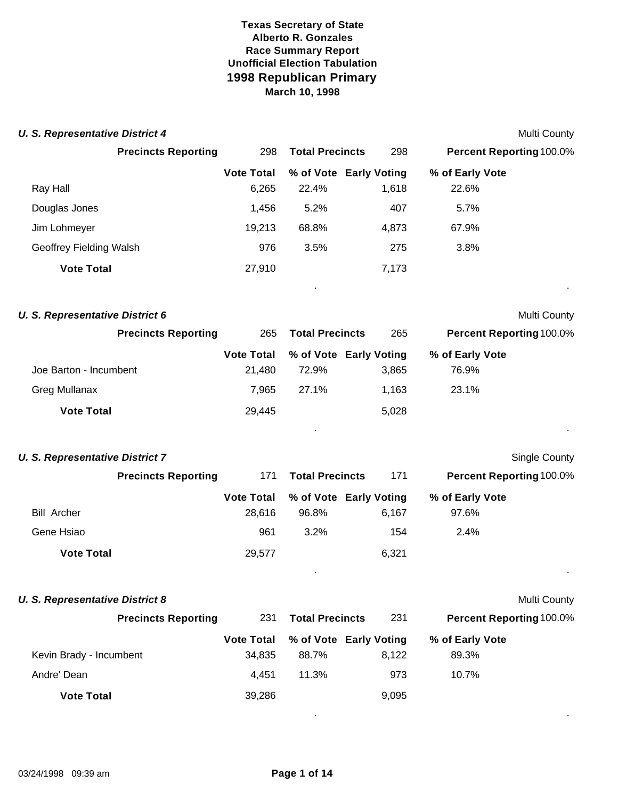| <b>U. S. Representative District 4</b> |                   |                        |       |                          | Multi County         |
|----------------------------------------|-------------------|------------------------|-------|--------------------------|----------------------|
| <b>Precincts Reporting</b>             | 298               | <b>Total Precincts</b> | 298   | Percent Reporting 100.0% |                      |
|                                        | <b>Vote Total</b> | % of Vote Early Voting |       | % of Early Vote          |                      |
| Ray Hall                               | 6,265             | 22.4%                  | 1,618 | 22.6%                    |                      |
| Douglas Jones                          | 1,456             | 5.2%                   | 407   | 5.7%                     |                      |
| Jim Lohmeyer                           | 19,213            | 68.8%                  | 4,873 | 67.9%                    |                      |
| Geoffrey Fielding Walsh                | 976               | 3.5%                   | 275   | 3.8%                     |                      |
| <b>Vote Total</b>                      | 27,910            |                        | 7,173 |                          |                      |
| <b>U. S. Representative District 6</b> |                   |                        |       |                          | Multi County         |
| <b>Precincts Reporting</b>             | 265               | <b>Total Precincts</b> | 265   | Percent Reporting 100.0% |                      |
|                                        | <b>Vote Total</b> | % of Vote Early Voting |       | % of Early Vote          |                      |
| Joe Barton - Incumbent                 | 21,480            | 72.9%                  | 3,865 | 76.9%                    |                      |
| <b>Greg Mullanax</b>                   | 7,965             | 27.1%                  | 1,163 | 23.1%                    |                      |
| <b>Vote Total</b>                      | 29,445            |                        | 5,028 |                          |                      |
| <b>U. S. Representative District 7</b> |                   |                        |       |                          | <b>Single County</b> |
| <b>Precincts Reporting</b>             | 171               | <b>Total Precincts</b> | 171   | Percent Reporting 100.0% |                      |
|                                        | <b>Vote Total</b> | % of Vote Early Voting |       | % of Early Vote          |                      |
| <b>Bill Archer</b>                     | 28,616            | 96.8%                  | 6,167 | 97.6%                    |                      |
| Gene Hsiao                             | 961               | 3.2%                   | 154   | 2.4%                     |                      |
| <b>Vote Total</b>                      | 29,577            |                        | 6,321 |                          |                      |
|                                        |                   |                        |       |                          |                      |
| <b>U. S. Representative District 8</b> |                   |                        |       |                          | <b>Multi County</b>  |
| <b>Precincts Reporting</b>             | 231               | <b>Total Precincts</b> | 231   | Percent Reporting 100.0% |                      |
|                                        | <b>Vote Total</b> | % of Vote Early Voting |       | % of Early Vote          |                      |
| Kevin Brady - Incumbent                | 34,835            | 88.7%                  | 8,122 | 89.3%                    |                      |
| Andre' Dean                            | 4,451             | 11.3%                  | 973   | 10.7%                    |                      |
| <b>Vote Total</b>                      | 39,286            |                        | 9,095 |                          |                      |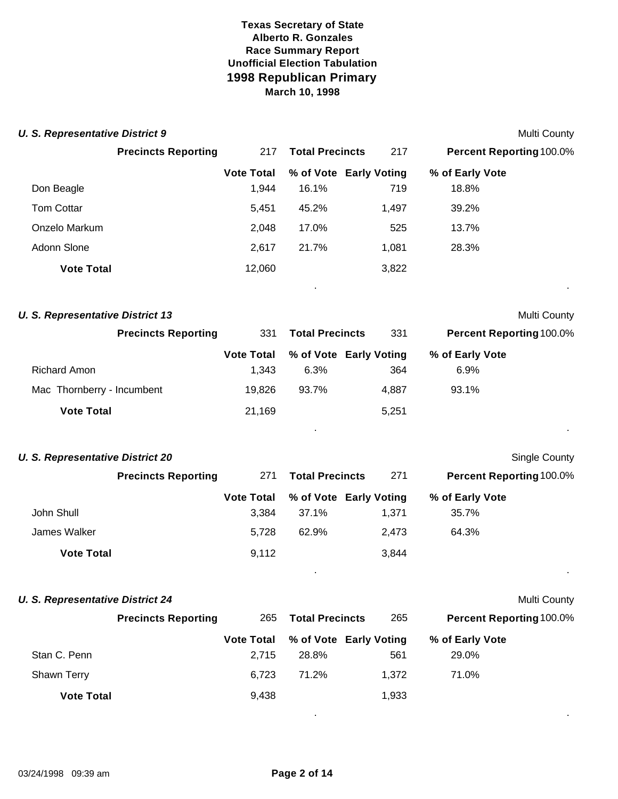| <b>U. S. Representative District 9</b>  |                            |                            |                        |                                 |                                 | Multi County         |
|-----------------------------------------|----------------------------|----------------------------|------------------------|---------------------------------|---------------------------------|----------------------|
|                                         | <b>Precincts Reporting</b> | 217                        | <b>Total Precincts</b> | 217                             | Percent Reporting 100.0%        |                      |
|                                         |                            | <b>Vote Total</b>          |                        | % of Vote Early Voting          | % of Early Vote                 |                      |
| Don Beagle                              |                            | 1,944                      | 16.1%                  | 719                             | 18.8%                           |                      |
| <b>Tom Cottar</b>                       |                            | 5,451                      | 45.2%                  | 1,497                           | 39.2%                           |                      |
| Onzelo Markum                           |                            | 2,048                      | 17.0%                  | 525                             | 13.7%                           |                      |
| Adonn Slone                             |                            | 2,617                      | 21.7%                  | 1,081                           | 28.3%                           |                      |
| <b>Vote Total</b>                       |                            | 12,060                     |                        | 3,822                           |                                 |                      |
| <b>U. S. Representative District 13</b> |                            |                            |                        |                                 |                                 | Multi County         |
|                                         | <b>Precincts Reporting</b> | 331                        | <b>Total Precincts</b> | 331                             | Percent Reporting 100.0%        |                      |
|                                         |                            | <b>Vote Total</b>          |                        | % of Vote Early Voting          | % of Early Vote                 |                      |
| <b>Richard Amon</b>                     |                            | 1,343                      | 6.3%                   | 364                             | 6.9%                            |                      |
| Mac Thornberry - Incumbent              |                            | 19,826                     | 93.7%                  | 4,887                           | 93.1%                           |                      |
| <b>Vote Total</b>                       |                            | 21,169                     |                        | 5,251                           |                                 |                      |
| <b>U. S. Representative District 20</b> |                            |                            |                        |                                 |                                 | <b>Single County</b> |
|                                         | <b>Precincts Reporting</b> | 271                        | <b>Total Precincts</b> | 271                             | <b>Percent Reporting 100.0%</b> |                      |
| John Shull                              |                            | <b>Vote Total</b><br>3,384 | 37.1%                  | % of Vote Early Voting<br>1,371 | % of Early Vote<br>35.7%        |                      |
| James Walker                            |                            | 5,728                      | 62.9%                  | 2,473                           | 64.3%                           |                      |
| <b>Vote Total</b>                       |                            | 9,112                      |                        | 3,844                           |                                 |                      |
| <b>U. S. Representative District 24</b> |                            |                            |                        |                                 |                                 | Multi County         |
|                                         | <b>Precincts Reporting</b> | 265                        | <b>Total Precincts</b> | 265                             | <b>Percent Reporting 100.0%</b> |                      |
|                                         |                            | <b>Vote Total</b>          |                        | % of Vote Early Voting          | % of Early Vote                 |                      |
| Stan C. Penn                            |                            | 2,715                      | 28.8%                  | 561                             | 29.0%                           |                      |
| Shawn Terry                             |                            | 6,723                      | 71.2%                  | 1,372                           | 71.0%                           |                      |
| <b>Vote Total</b>                       |                            | 9,438                      |                        | 1,933                           |                                 |                      |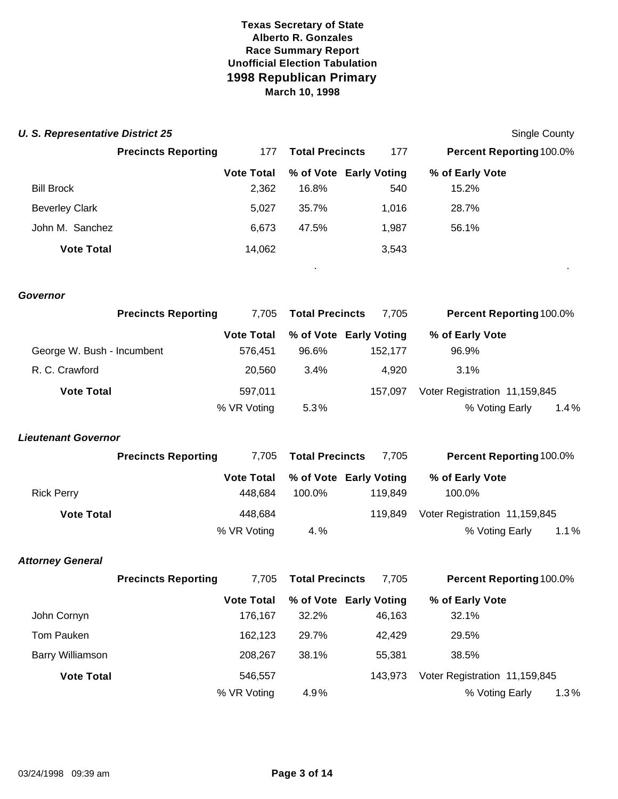| <b>U. S. Representative District 25</b> |                            |                              |                        |                                   |                               | Single County |
|-----------------------------------------|----------------------------|------------------------------|------------------------|-----------------------------------|-------------------------------|---------------|
|                                         | <b>Precincts Reporting</b> | 177                          | <b>Total Precincts</b> | 177                               | Percent Reporting 100.0%      |               |
|                                         |                            | <b>Vote Total</b>            |                        | % of Vote Early Voting            | % of Early Vote               |               |
| <b>Bill Brock</b>                       |                            | 2,362                        | 16.8%                  | 540                               | 15.2%                         |               |
| <b>Beverley Clark</b>                   |                            | 5,027                        | 35.7%                  | 1,016                             | 28.7%                         |               |
| John M. Sanchez                         |                            | 6,673                        | 47.5%                  | 1,987                             | 56.1%                         |               |
| <b>Vote Total</b>                       |                            | 14,062                       |                        | 3,543                             |                               |               |
| Governor                                |                            |                              |                        |                                   |                               |               |
|                                         | <b>Precincts Reporting</b> | 7,705                        | <b>Total Precincts</b> | 7,705                             | Percent Reporting 100.0%      |               |
| George W. Bush - Incumbent              |                            | <b>Vote Total</b><br>576,451 | 96.6%                  | % of Vote Early Voting<br>152,177 | % of Early Vote<br>96.9%      |               |
| R. C. Crawford                          |                            | 20,560                       | 3.4%                   | 4,920                             | 3.1%                          |               |
| <b>Vote Total</b>                       |                            | 597,011                      |                        | 157,097                           | Voter Registration 11,159,845 |               |
|                                         |                            | % VR Voting                  | 5.3%                   |                                   | % Voting Early                | 1.4%          |
| <b>Lieutenant Governor</b>              |                            |                              |                        |                                   |                               |               |
|                                         | <b>Precincts Reporting</b> | 7,705                        | <b>Total Precincts</b> | 7,705                             | Percent Reporting 100.0%      |               |
| <b>Rick Perry</b>                       |                            | <b>Vote Total</b><br>448,684 | 100.0%                 | % of Vote Early Voting<br>119,849 | % of Early Vote<br>100.0%     |               |
| <b>Vote Total</b>                       |                            | 448,684                      |                        | 119,849                           | Voter Registration 11,159,845 |               |
|                                         |                            | % VR Voting                  | 4.%                    |                                   | % Voting Early                | 1.1%          |
| <b>Attorney General</b>                 |                            |                              |                        |                                   |                               |               |
|                                         | <b>Precincts Reporting</b> | 7,705                        | <b>Total Precincts</b> | 7,705                             | Percent Reporting 100.0%      |               |
|                                         |                            | <b>Vote Total</b>            |                        | % of Vote Early Voting            | % of Early Vote               |               |
| John Cornyn                             |                            | 176,167                      | 32.2%                  | 46,163                            | 32.1%                         |               |

% VR Voting 4.9% % Voting Early 1.3 %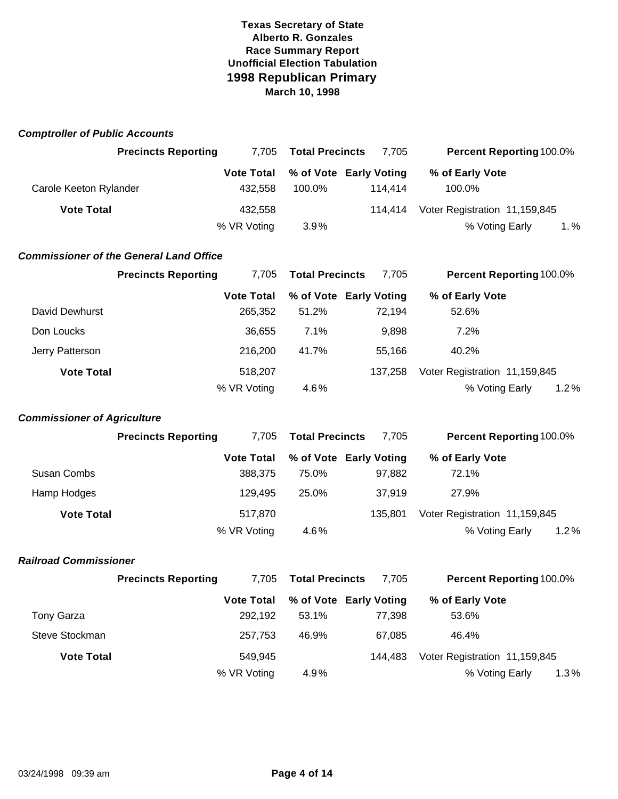| <b>Comptroller of Public Accounts</b> |                                                |                              |                        |                                   |                                                 |         |
|---------------------------------------|------------------------------------------------|------------------------------|------------------------|-----------------------------------|-------------------------------------------------|---------|
|                                       | <b>Precincts Reporting</b>                     | 7,705                        | <b>Total Precincts</b> | 7,705                             | Percent Reporting 100.0%                        |         |
| Carole Keeton Rylander                |                                                | <b>Vote Total</b><br>432,558 | 100.0%                 | % of Vote Early Voting<br>114,414 | % of Early Vote<br>100.0%                       |         |
| <b>Vote Total</b>                     |                                                | 432,558<br>% VR Voting       | 3.9%                   | 114,414                           | Voter Registration 11,159,845<br>% Voting Early | $1. \%$ |
|                                       | <b>Commissioner of the General Land Office</b> |                              |                        |                                   |                                                 |         |
|                                       | <b>Precincts Reporting</b>                     | 7,705                        | <b>Total Precincts</b> | 7,705                             | <b>Percent Reporting 100.0%</b>                 |         |
| David Dewhurst                        |                                                | <b>Vote Total</b><br>265,352 | 51.2%                  | % of Vote Early Voting<br>72,194  | % of Early Vote<br>52.6%                        |         |
| Don Loucks                            |                                                | 36,655                       | 7.1%                   | 9,898                             | 7.2%                                            |         |
| Jerry Patterson                       |                                                | 216,200                      | 41.7%                  | 55,166                            | 40.2%                                           |         |
| <b>Vote Total</b>                     |                                                | 518,207<br>% VR Voting       | 4.6%                   | 137,258                           | Voter Registration 11,159,845<br>% Voting Early | 1.2%    |
| <b>Commissioner of Agriculture</b>    |                                                |                              |                        |                                   |                                                 |         |
|                                       | <b>Precincts Reporting</b>                     | 7,705                        | <b>Total Precincts</b> | 7,705                             | <b>Percent Reporting 100.0%</b>                 |         |
| Susan Combs                           |                                                | <b>Vote Total</b><br>388,375 | 75.0%                  | % of Vote Early Voting<br>97,882  | % of Early Vote<br>72.1%                        |         |
| Hamp Hodges                           |                                                | 129,495                      | 25.0%                  | 37,919                            | 27.9%                                           |         |
| <b>Vote Total</b>                     |                                                | 517,870<br>% VR Voting       | 4.6%                   | 135,801                           | Voter Registration 11,159,845<br>% Voting Early | 1.2%    |
| <b>Railroad Commissioner</b>          |                                                |                              |                        |                                   |                                                 |         |
|                                       | <b>Precincts Reporting</b>                     | 7,705                        | <b>Total Precincts</b> | 7,705                             | Percent Reporting 100.0%                        |         |
| <b>Tony Garza</b>                     |                                                | <b>Vote Total</b><br>292,192 | 53.1%                  | % of Vote Early Voting<br>77,398  | % of Early Vote<br>53.6%                        |         |
| Steve Stockman                        |                                                | 257,753                      | 46.9%                  | 67,085                            | 46.4%                                           |         |
| <b>Vote Total</b>                     |                                                | 549,945<br>% VR Voting       | 4.9%                   | 144,483                           | Voter Registration 11,159,845<br>% Voting Early | 1.3%    |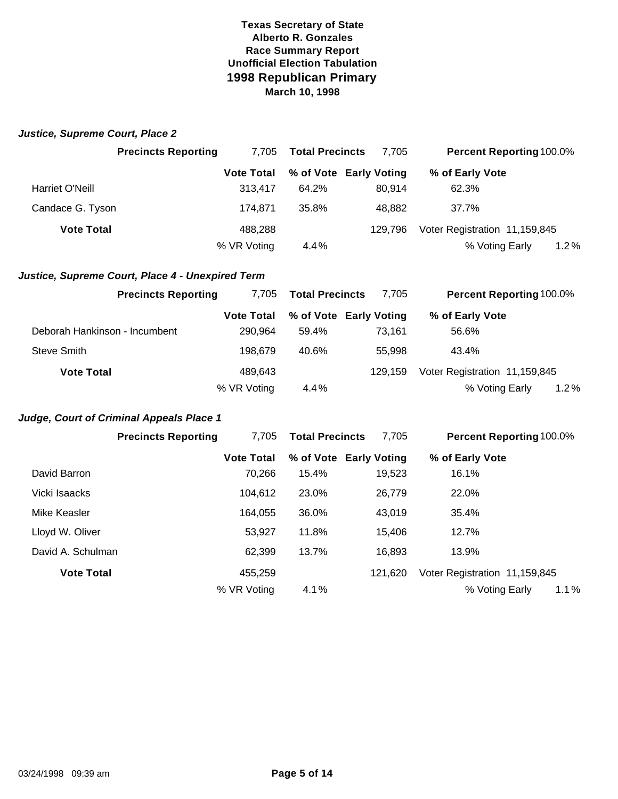|  | Justice, Supreme Court, Place 2 |  |  |
|--|---------------------------------|--|--|
|--|---------------------------------|--|--|

|                   | <b>Precincts Reporting</b> | 7.705             | <b>Total Precincts</b> | 7,705                  | <b>Percent Reporting 100.0%</b> |  |
|-------------------|----------------------------|-------------------|------------------------|------------------------|---------------------------------|--|
|                   |                            | <b>Vote Total</b> |                        | % of Vote Early Voting | % of Early Vote                 |  |
| Harriet O'Neill   |                            | 313.417           | 64.2%                  | 80.914                 | 62.3%                           |  |
| Candace G. Tyson  |                            | 174.871           | 35.8%                  | 48.882                 | 37.7%                           |  |
| <b>Vote Total</b> |                            | 488,288           |                        | 129.796                | Voter Registration 11,159,845   |  |
|                   |                            | % VR Voting       | 4.4%                   |                        | % Voting Early<br>1.2%          |  |

#### *Justice, Supreme Court, Place 4 - Unexpired Term*

| <b>Precincts Reporting</b>    | 7.705             | <b>Total Precincts</b> | 7.705   | <b>Percent Reporting 100.0%</b> |  |
|-------------------------------|-------------------|------------------------|---------|---------------------------------|--|
|                               | <b>Vote Total</b> | % of Vote Early Voting |         | % of Early Vote                 |  |
| Deborah Hankinson - Incumbent | 290.964           | 59.4%                  | 73.161  | 56.6%                           |  |
| <b>Steve Smith</b>            | 198.679           | 40.6%                  | 55,998  | 43.4%                           |  |
| <b>Vote Total</b>             | 489.643           |                        | 129.159 | Voter Registration 11,159,845   |  |
|                               | % VR Voting       | 4.4%                   |         | % Voting Early<br>$1.2\%$       |  |

# *Judge, Court of Criminal Appeals Place 1*

|                   | <b>Precincts Reporting</b> | 7.705             | <b>Total Precincts</b> | 7,705                  | <b>Percent Reporting 100.0%</b> |
|-------------------|----------------------------|-------------------|------------------------|------------------------|---------------------------------|
|                   |                            | <b>Vote Total</b> |                        | % of Vote Early Voting | % of Early Vote                 |
| David Barron      |                            | 70.266            | 15.4%                  | 19,523                 | 16.1%                           |
| Vicki Isaacks     |                            | 104,612           | 23.0%                  | 26,779                 | 22.0%                           |
| Mike Keasler      |                            | 164.055           | 36.0%                  | 43,019                 | 35.4%                           |
| Lloyd W. Oliver   |                            | 53,927            | 11.8%                  | 15.406                 | 12.7%                           |
| David A. Schulman |                            | 62,399            | 13.7%                  | 16,893                 | 13.9%                           |
| <b>Vote Total</b> |                            | 455,259           |                        | 121.620                | Voter Registration 11,159,845   |
|                   |                            | % VR Voting       | 4.1%                   |                        | 1.1%<br>% Voting Early          |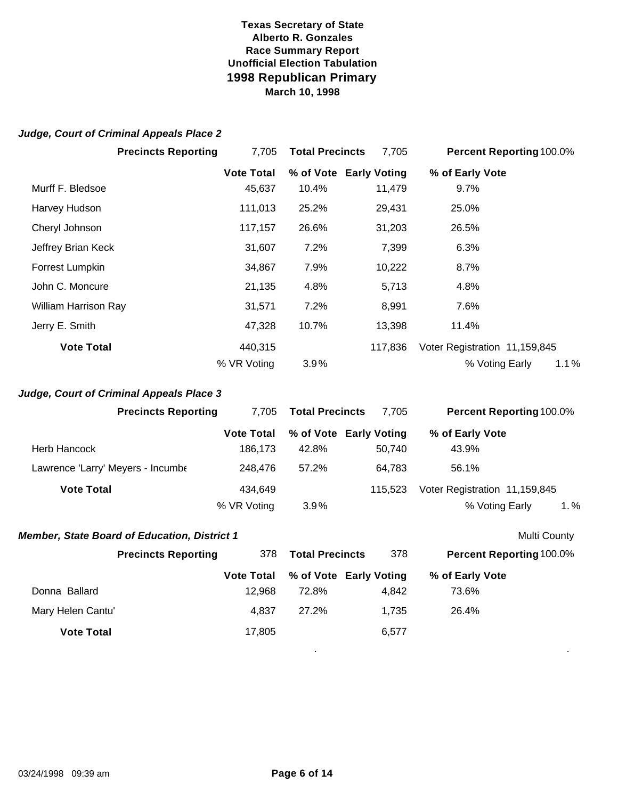#### *Judge, Court of Criminal Appeals Place 2*

|                             | <b>Precincts Reporting</b> | 7,705             | <b>Total Precincts</b> | 7,705                  | <b>Percent Reporting 100.0%</b> |
|-----------------------------|----------------------------|-------------------|------------------------|------------------------|---------------------------------|
|                             |                            | <b>Vote Total</b> |                        | % of Vote Early Voting | % of Early Vote                 |
| Murff F. Bledsoe            |                            | 45,637            | 10.4%                  | 11,479                 | $9.7\%$                         |
| Harvey Hudson               |                            | 111,013           | 25.2%                  | 29,431                 | 25.0%                           |
| Cheryl Johnson              |                            | 117,157           | 26.6%                  | 31,203                 | 26.5%                           |
| Jeffrey Brian Keck          |                            | 31,607            | 7.2%                   | 7,399                  | 6.3%                            |
| Forrest Lumpkin             |                            | 34,867            | 7.9%                   | 10,222                 | $8.7\%$                         |
| John C. Moncure             |                            | 21,135            | 4.8%                   | 5,713                  | 4.8%                            |
| <b>William Harrison Ray</b> |                            | 31,571            | 7.2%                   | 8,991                  | 7.6%                            |
| Jerry E. Smith              |                            | 47,328            | 10.7%                  | 13,398                 | 11.4%                           |
| <b>Vote Total</b>           |                            | 440,315           |                        | 117.836                | Voter Registration 11,159,845   |
|                             |                            | % VR Voting       | 3.9%                   |                        | % Voting Early<br>1.1%          |

### *Judge, Court of Criminal Appeals Place 3*

|                                   | <b>Precincts Reporting</b> | 7.705             | <b>Total Precincts</b> | 7.705                  | <b>Percent Reporting 100.0%</b> |
|-----------------------------------|----------------------------|-------------------|------------------------|------------------------|---------------------------------|
|                                   |                            | <b>Vote Total</b> |                        | % of Vote Early Voting | % of Early Vote                 |
| Herb Hancock                      |                            | 186.173           | 42.8%                  | 50.740                 | 43.9%                           |
| Lawrence 'Larry' Meyers - Incumbe |                            | 248.476           | 57.2%                  | 64.783                 | 56.1%                           |
| <b>Vote Total</b>                 |                            | 434.649           |                        | 115.523                | Voter Registration 11,159,845   |
|                                   |                            | % VR Voting       | $3.9\%$                |                        | 1.%<br>% Voting Early           |

### **Member, State Board of Education, District 1** Multi County

|                   | <b>Precincts Reporting</b> | 378               | <b>Total Precincts</b> | 378                    | <b>Percent Reporting 100.0%</b> |
|-------------------|----------------------------|-------------------|------------------------|------------------------|---------------------------------|
|                   |                            | <b>Vote Total</b> |                        | % of Vote Early Voting | % of Early Vote                 |
| Donna Ballard     |                            | 12.968            | 72.8%                  | 4.842                  | 73.6%                           |
| Mary Helen Cantu' |                            | 4.837             | 27.2%                  | 1.735                  | 26.4%                           |
| <b>Vote Total</b> |                            | 17,805            |                        | 6,577                  |                                 |
|                   |                            |                   |                        |                        |                                 |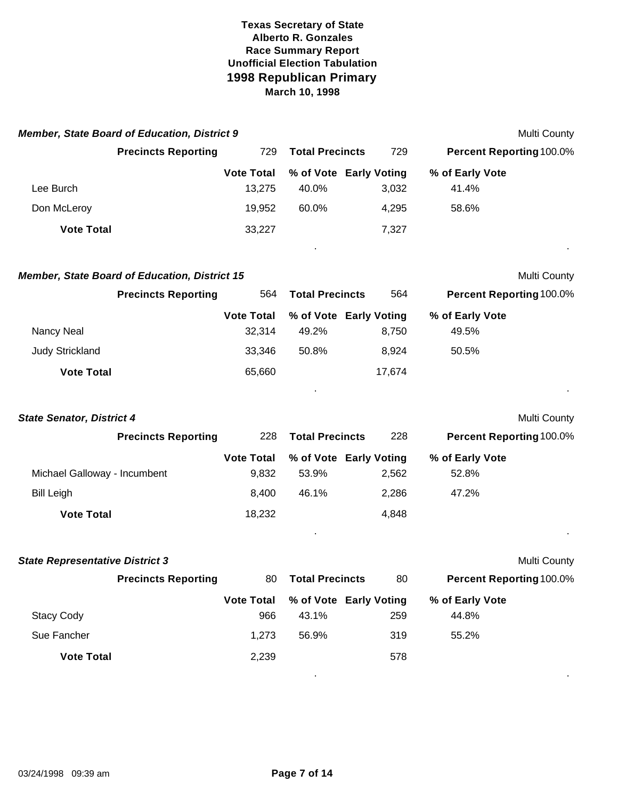|                                  | <b>Member, State Board of Education, District 9</b>  |                   |                        |                        |                          | Multi County |
|----------------------------------|------------------------------------------------------|-------------------|------------------------|------------------------|--------------------------|--------------|
|                                  | <b>Precincts Reporting</b>                           | 729               | <b>Total Precincts</b> | 729                    | Percent Reporting 100.0% |              |
|                                  |                                                      | <b>Vote Total</b> |                        | % of Vote Early Voting | % of Early Vote          |              |
| Lee Burch                        |                                                      | 13,275            | 40.0%                  | 3,032                  | 41.4%                    |              |
| Don McLeroy                      |                                                      | 19,952            | 60.0%                  | 4,295                  | 58.6%                    |              |
| <b>Vote Total</b>                |                                                      | 33,227            |                        | 7,327                  |                          |              |
|                                  | <b>Member, State Board of Education, District 15</b> |                   |                        |                        |                          | Multi County |
|                                  | <b>Precincts Reporting</b>                           | 564               | <b>Total Precincts</b> | 564                    | Percent Reporting 100.0% |              |
|                                  |                                                      | <b>Vote Total</b> |                        | % of Vote Early Voting | % of Early Vote          |              |
| Nancy Neal                       |                                                      | 32,314            | 49.2%                  | 8,750                  | 49.5%                    |              |
| <b>Judy Strickland</b>           |                                                      | 33,346            | 50.8%                  | 8,924                  | 50.5%                    |              |
| <b>Vote Total</b>                |                                                      | 65,660            |                        | 17,674                 |                          |              |
| <b>State Senator, District 4</b> |                                                      |                   |                        |                        |                          | Multi County |
|                                  | <b>Precincts Reporting</b>                           | 228               | <b>Total Precincts</b> | 228                    | Percent Reporting 100.0% |              |
|                                  |                                                      | <b>Vote Total</b> |                        | % of Vote Early Voting | % of Early Vote          |              |
| Michael Galloway - Incumbent     |                                                      | 9,832             | 53.9%                  | 2,562                  | 52.8%                    |              |
| <b>Bill Leigh</b>                |                                                      | 8,400             | 46.1%                  | 2,286                  | 47.2%                    |              |
| <b>Vote Total</b>                |                                                      | 18,232            |                        | 4,848                  |                          |              |
|                                  |                                                      |                   |                        |                        |                          |              |

| <b>State Representative District 3</b> |                            |                   |                        |                        |                                 | <b>Multi County</b> |
|----------------------------------------|----------------------------|-------------------|------------------------|------------------------|---------------------------------|---------------------|
|                                        | <b>Precincts Reporting</b> | 80                | <b>Total Precincts</b> |                        | <b>Percent Reporting 100.0%</b> |                     |
|                                        |                            | <b>Vote Total</b> |                        | % of Vote Early Voting | % of Early Vote                 |                     |
| <b>Stacy Cody</b>                      |                            | 966               | 43.1%                  | 259                    | 44.8%                           |                     |
| Sue Fancher                            |                            | 1,273             | 56.9%                  | 319                    | 55.2%                           |                     |
| <b>Vote Total</b>                      |                            | 2,239             |                        | 578                    |                                 |                     |
|                                        |                            |                   |                        |                        |                                 |                     |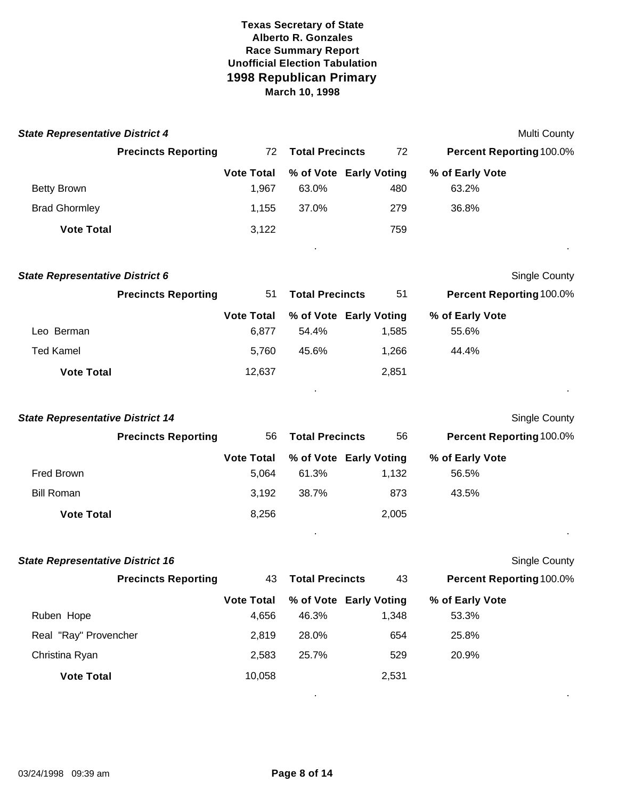| <b>State Representative District 4</b> |                            |                   |                        |       |                                 | <b>Multi County</b>  |
|----------------------------------------|----------------------------|-------------------|------------------------|-------|---------------------------------|----------------------|
|                                        | <b>Precincts Reporting</b> | 72                | <b>Total Precincts</b> | 72    | <b>Percent Reporting 100.0%</b> |                      |
|                                        |                            | <b>Vote Total</b> | % of Vote Early Voting |       | % of Early Vote                 |                      |
| <b>Betty Brown</b>                     |                            | 1,967             | 63.0%                  | 480   | 63.2%                           |                      |
| <b>Brad Ghormley</b>                   |                            | 1,155             | 37.0%                  | 279   | 36.8%                           |                      |
| <b>Vote Total</b>                      |                            | 3,122             |                        | 759   |                                 |                      |
| <b>State Representative District 6</b> |                            |                   |                        |       |                                 | <b>Single County</b> |
|                                        | <b>Precincts Reporting</b> | 51                | <b>Total Precincts</b> | 51    | <b>Percent Reporting 100.0%</b> |                      |
|                                        |                            | <b>Vote Total</b> | % of Vote Early Voting |       | % of Early Vote                 |                      |
| Leo Berman                             |                            | 6,877             | 54.4%                  | 1,585 | 55.6%                           |                      |
| Ted Kamel                              |                            | 5,760             | 45.6%                  | 1,266 | 44.4%                           |                      |

| <b>State Representative District 14</b> |                            |                   |                        |                        | <b>Single County</b>            |  |
|-----------------------------------------|----------------------------|-------------------|------------------------|------------------------|---------------------------------|--|
|                                         | <b>Precincts Reporting</b> | 56                | <b>Total Precincts</b> | 56                     | <b>Percent Reporting 100.0%</b> |  |
|                                         |                            | <b>Vote Total</b> |                        | % of Vote Early Voting | % of Early Vote                 |  |
| Fred Brown                              |                            | 5.064             | 61.3%                  | 1,132                  | 56.5%                           |  |
| <b>Bill Roman</b>                       |                            | 3,192             | 38.7%                  | 873                    | 43.5%                           |  |
| <b>Vote Total</b>                       |                            | 8,256             |                        | 2.005                  |                                 |  |
|                                         |                            |                   |                        |                        |                                 |  |

. .

**Vote Total** 2,851

| <b>State Representative District 16</b> |                   |                        |                        |                          | <b>Single County</b> |
|-----------------------------------------|-------------------|------------------------|------------------------|--------------------------|----------------------|
| <b>Precincts Reporting</b>              | 43                | <b>Total Precincts</b> |                        | Percent Reporting 100.0% |                      |
|                                         | <b>Vote Total</b> |                        | % of Vote Early Voting | % of Early Vote          |                      |
| Ruben Hope                              | 4,656             | 46.3%                  | 1,348                  | 53.3%                    |                      |
| Real "Ray" Provencher                   | 2,819             | 28.0%                  | 654                    | 25.8%                    |                      |
| Christina Ryan                          | 2,583             | 25.7%                  | 529                    | 20.9%                    |                      |
| <b>Vote Total</b>                       | 10,058            |                        | 2,531                  |                          |                      |
|                                         |                   |                        |                        |                          |                      |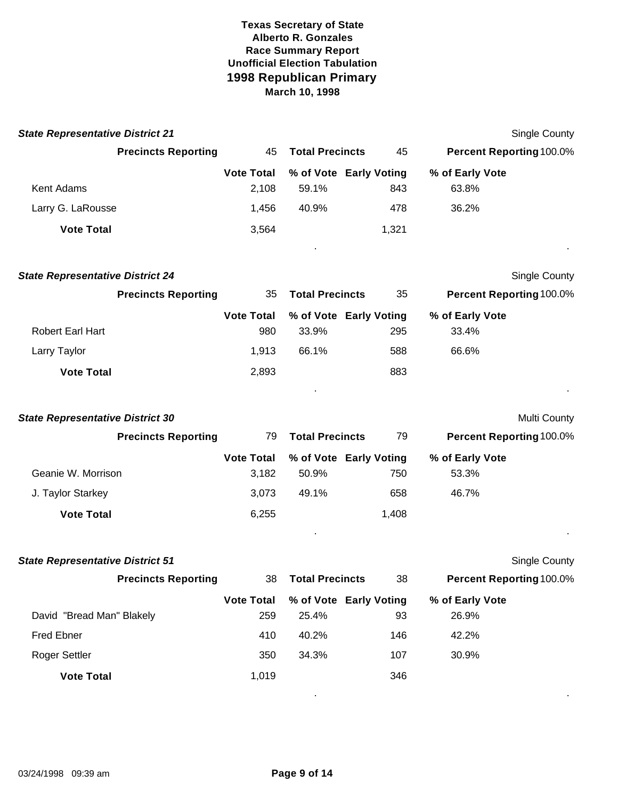| <b>State Representative District 21</b> |                            |                          |                        |                               |                                 | <b>Single County</b>     |
|-----------------------------------------|----------------------------|--------------------------|------------------------|-------------------------------|---------------------------------|--------------------------|
|                                         | <b>Precincts Reporting</b> | 45                       | <b>Total Precincts</b> | 45                            | Percent Reporting 100.0%        |                          |
|                                         |                            | <b>Vote Total</b>        |                        | % of Vote Early Voting        | % of Early Vote                 |                          |
| Kent Adams                              |                            | 2,108                    | 59.1%                  | 843                           | 63.8%                           |                          |
| Larry G. LaRousse                       |                            | 1,456                    | 40.9%                  | 478                           | 36.2%                           |                          |
| <b>Vote Total</b>                       |                            | 3,564                    |                        | 1,321                         |                                 |                          |
| <b>State Representative District 24</b> |                            |                          |                        |                               |                                 | <b>Single County</b>     |
|                                         | <b>Precincts Reporting</b> | 35                       | <b>Total Precincts</b> | 35                            | <b>Percent Reporting 100.0%</b> |                          |
| <b>Robert Earl Hart</b>                 |                            | <b>Vote Total</b><br>980 | 33.9%                  | % of Vote Early Voting<br>295 | % of Early Vote<br>33.4%        |                          |
| Larry Taylor                            |                            | 1,913                    | 66.1%                  | 588                           | 66.6%                           |                          |
| <b>Vote Total</b>                       |                            | 2,893                    |                        | 883                           |                                 |                          |
| <b>State Representative District 30</b> |                            |                          |                        |                               |                                 | Multi County             |
|                                         | <b>Precincts Reporting</b> | 79                       | <b>Total Precincts</b> | 79                            |                                 | Percent Reporting 100.0% |
|                                         |                            | <b>Vote Total</b>        |                        | % of Vote Early Voting        | % of Early Vote                 |                          |
| Geanie W. Morrison                      |                            | 3,182                    | 50.9%                  | 750                           | 53.3%                           |                          |
| J. Taylor Starkey                       |                            | 3,073                    | 49.1%                  | 658                           | 46.7%                           |                          |
| <b>Vote Total</b>                       |                            | 6,255                    |                        | 1,408                         |                                 |                          |
|                                         |                            |                          |                        |                               |                                 |                          |
| <b>State Representative District 51</b> |                            |                          |                        |                               |                                 | <b>Single County</b>     |
|                                         | <b>Precincts Reporting</b> | 38                       | <b>Total Precincts</b> | 38                            |                                 | Percent Reporting 100.0% |
|                                         |                            | <b>Vote Total</b>        |                        | % of Vote Early Voting        | % of Early Vote                 |                          |
| David "Bread Man" Blakely               |                            | 259                      | 25.4%                  | 93                            | 26.9%                           |                          |
| <b>Fred Ebner</b>                       |                            | 410                      | 40.2%                  | 146                           | 42.2%                           |                          |
| Roger Settler                           |                            | 350                      | 34.3%                  | 107                           | 30.9%                           |                          |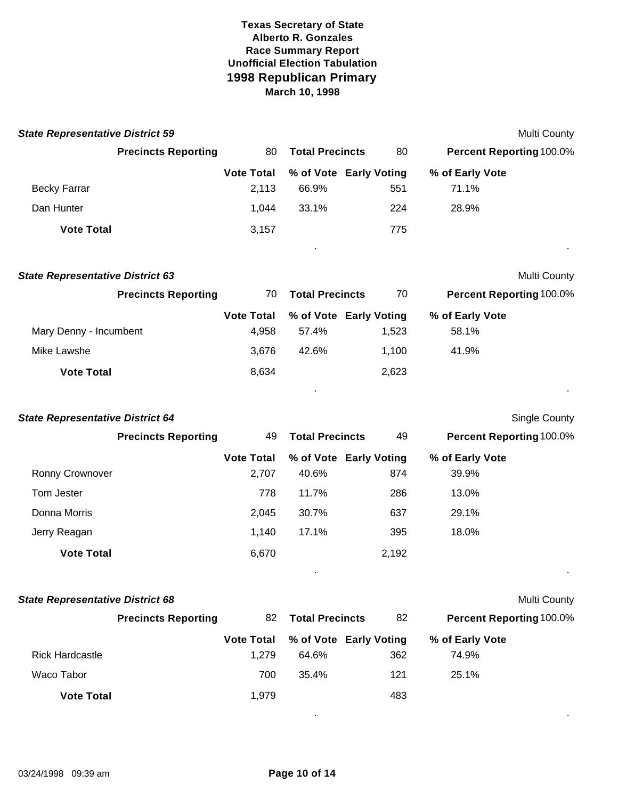| <b>State Representative District 59</b> |                   |                        |       | <b>Multi County</b>             |
|-----------------------------------------|-------------------|------------------------|-------|---------------------------------|
| <b>Precincts Reporting</b>              | 80                | <b>Total Precincts</b> | 80    | <b>Percent Reporting 100.0%</b> |
|                                         | <b>Vote Total</b> | % of Vote Early Voting |       | % of Early Vote                 |
| <b>Becky Farrar</b>                     | 2,113             | 66.9%                  | 551   | 71.1%                           |
| Dan Hunter                              | 1.044             | 33.1%                  | 224   | 28.9%                           |
| <b>Vote Total</b>                       | 3,157             |                        | 775   | $\sim$                          |
| <b>State Representative District 63</b> |                   |                        |       | <b>Multi County</b>             |
| <b>Precincts Reporting</b>              | 70                | <b>Total Precincts</b> | 70    | <b>Percent Reporting 100.0%</b> |
|                                         | <b>Vote Total</b> | % of Vote Early Voting |       | % of Early Vote                 |
| Mary Denny - Incumbent                  | 4.958             | 57.4%                  | 1,523 | 58.1%                           |

| Ronny Crownover                         |                            | <b>Vote Total</b><br>2,707 | % of Vote Early Voting<br>40.6% | 874   | % of Early Vote<br>39.9% |  |
|-----------------------------------------|----------------------------|----------------------------|---------------------------------|-------|--------------------------|--|
|                                         | <b>Precincts Reporting</b> | 49                         | <b>Total Precincts</b>          | 49    | Percent Reporting 100.0% |  |
| <b>State Representative District 64</b> |                            |                            |                                 |       | Single County            |  |
| <b>Vote Total</b>                       |                            | 8,634                      |                                 | 2,623 |                          |  |
| Mike Lawshe                             |                            | 3,676                      | 42.6%                           | 1,100 | 41.9%                    |  |

| Tom Jester        | 778   | 11.7% | 286   | 13.0% |
|-------------------|-------|-------|-------|-------|
| Donna Morris      | 2.045 | 30.7% | 637   | 29.1% |
| Jerry Reagan      | 1.140 | 17.1% | 395   | 18.0% |
| <b>Vote Total</b> | 6,670 |       | 2,192 |       |

. .

| <b>State Representative District 68</b> |                            |                              |                        |     |                                 | <b>Multi County</b> |
|-----------------------------------------|----------------------------|------------------------------|------------------------|-----|---------------------------------|---------------------|
|                                         | <b>Precincts Reporting</b> | <b>Total Precincts</b><br>82 |                        | 82  | <b>Percent Reporting 100.0%</b> |                     |
|                                         |                            | <b>Vote Total</b>            | % of Vote Early Voting |     | % of Early Vote                 |                     |
| <b>Rick Hardcastle</b>                  |                            | 1.279                        | 64.6%                  | 362 | 74.9%                           |                     |
| Waco Tabor                              |                            | 700                          | 35.4%                  | 121 | 25.1%                           |                     |
| <b>Vote Total</b>                       |                            | 1.979                        |                        | 483 |                                 |                     |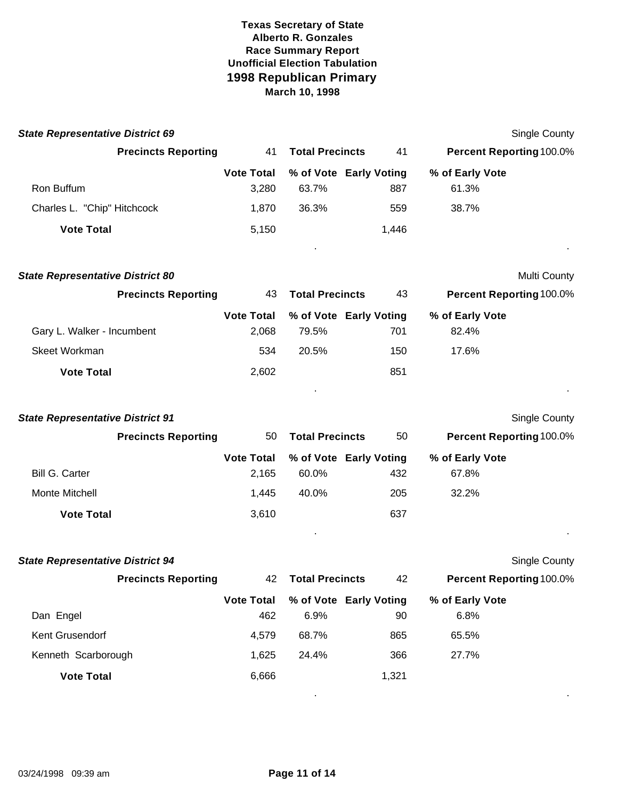| <b>State Representative District 69</b> |                            |                   |                        |                        |                 | Single County                   |
|-----------------------------------------|----------------------------|-------------------|------------------------|------------------------|-----------------|---------------------------------|
|                                         | <b>Precincts Reporting</b> | 41                | <b>Total Precincts</b> | 41                     |                 | Percent Reporting 100.0%        |
|                                         |                            | <b>Vote Total</b> |                        | % of Vote Early Voting | % of Early Vote |                                 |
| Ron Buffum                              |                            | 3,280             | 63.7%                  | 887                    | 61.3%           |                                 |
| Charles L. "Chip" Hitchcock             |                            | 1,870             | 36.3%                  | 559                    | 38.7%           |                                 |
| <b>Vote Total</b>                       |                            | 5,150             |                        | 1,446                  |                 |                                 |
| <b>State Representative District 80</b> |                            |                   |                        |                        |                 | Multi County                    |
|                                         | <b>Precincts Reporting</b> | 43                | <b>Total Precincts</b> | 43                     |                 | <b>Percent Reporting 100.0%</b> |
|                                         |                            | <b>Vote Total</b> |                        | % of Vote Early Voting | % of Early Vote |                                 |
| Gary L. Walker - Incumbent              |                            | 2,068             | 79.5%                  | 701                    | 82.4%           |                                 |
| Skeet Workman                           |                            | 534               | 20.5%                  | 150                    | 17.6%           |                                 |
| <b>Vote Total</b>                       |                            | 2,602             |                        | 851                    |                 |                                 |
| <b>State Representative District 91</b> |                            |                   |                        |                        |                 | Single County                   |
|                                         | <b>Precincts Reporting</b> | 50                | <b>Total Precincts</b> | 50                     |                 | <b>Percent Reporting 100.0%</b> |
|                                         |                            | <b>Vote Total</b> |                        | % of Vote Early Voting | % of Early Vote |                                 |

|                       |       |       | Vote Total % of Vote Early Voting | % of Early Vote |  |
|-----------------------|-------|-------|-----------------------------------|-----------------|--|
| <b>Bill G. Carter</b> | 2.165 | 60.0% | 432                               | 67.8%           |  |
| Monte Mitchell        | 1.445 | 40.0% | 205                               | 32.2%           |  |
| <b>Vote Total</b>     | 3.610 |       | 637                               |                 |  |

| <b>State Representative District 94</b> |                   |                        |                        | Single County                   |  |
|-----------------------------------------|-------------------|------------------------|------------------------|---------------------------------|--|
| <b>Precincts Reporting</b>              | 42                | <b>Total Precincts</b> |                        | <b>Percent Reporting 100.0%</b> |  |
|                                         | <b>Vote Total</b> |                        | % of Vote Early Voting | % of Early Vote                 |  |
| Dan Engel                               | 462               | 6.9%                   | 90                     | 6.8%                            |  |
| Kent Grusendorf                         | 4,579             | 68.7%                  | 865                    | 65.5%                           |  |
| Kenneth Scarborough                     | 1,625             | 24.4%                  | 366                    | 27.7%                           |  |
| <b>Vote Total</b>                       | 6,666             |                        | 1,321                  |                                 |  |
|                                         |                   |                        |                        |                                 |  |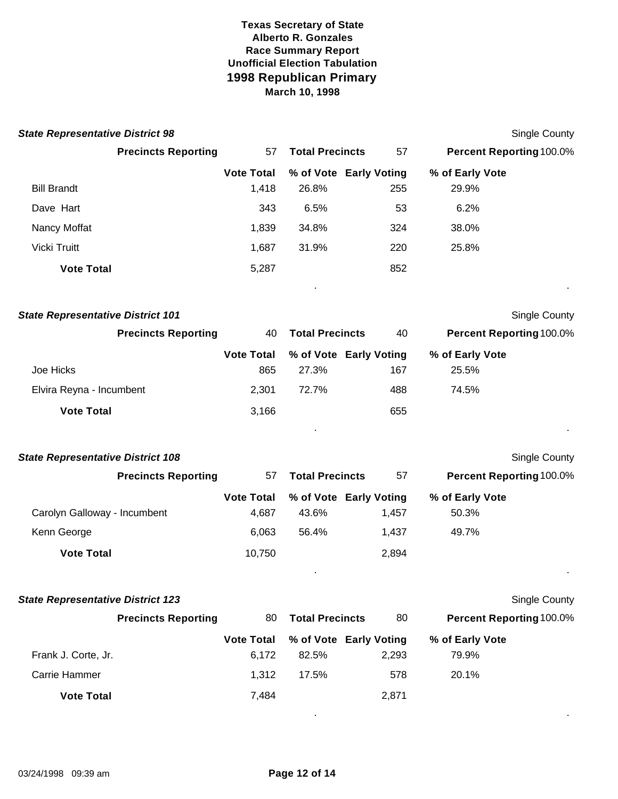| <b>State Representative District 98</b>  |                   |                        |                        | <b>Single County</b>     |
|------------------------------------------|-------------------|------------------------|------------------------|--------------------------|
| <b>Precincts Reporting</b>               | 57                | <b>Total Precincts</b> | 57                     | Percent Reporting 100.0% |
|                                          | <b>Vote Total</b> |                        | % of Vote Early Voting | % of Early Vote          |
| <b>Bill Brandt</b>                       | 1,418             | 26.8%                  | 255                    | 29.9%                    |
| Dave Hart                                | 343               | 6.5%                   | 53                     | 6.2%                     |
| Nancy Moffat                             | 1,839             | 34.8%                  | 324                    | 38.0%                    |
| Vicki Truitt                             | 1,687             | 31.9%                  | 220                    | 25.8%                    |
| <b>Vote Total</b>                        | 5,287             |                        | 852                    |                          |
| <b>State Representative District 101</b> |                   |                        |                        | <b>Single County</b>     |
| <b>Precincts Reporting</b>               | 40                | <b>Total Precincts</b> | 40                     | Percent Reporting 100.0% |
|                                          | <b>Vote Total</b> |                        | % of Vote Early Voting | % of Early Vote          |
| Joe Hicks                                | 865               | 27.3%                  | 167                    | 25.5%                    |
| Elvira Reyna - Incumbent                 | 2,301             | 72.7%                  | 488                    | 74.5%                    |
| <b>Vote Total</b>                        | 3,166             |                        | 655                    |                          |
|                                          |                   |                        |                        |                          |
| <b>State Representative District 108</b> |                   |                        |                        | <b>Single County</b>     |
| <b>Precincts Reporting</b>               | 57                | <b>Total Precincts</b> | 57                     | Percent Reporting 100.0% |
|                                          | <b>Vote Total</b> |                        | % of Vote Early Voting | % of Early Vote          |
| Carolyn Galloway - Incumbent             | 4,687             | 43.6%                  | 1,457                  | 50.3%                    |
| Kenn George                              | 6,063             | 56.4%                  | 1,437                  | 49.7%                    |
| <b>Vote Total</b>                        | 10,750            |                        | 2,894                  |                          |
|                                          |                   |                        |                        |                          |
| <b>State Representative District 123</b> |                   |                        |                        | <b>Single County</b>     |
| <b>Precincts Reporting</b>               | 80                | <b>Total Precincts</b> | 80                     | Percent Reporting 100.0% |
|                                          | <b>Vote Total</b> |                        | % of Vote Early Voting | % of Early Vote          |
| Frank J. Corte, Jr.                      | 6,172             | 82.5%                  | 2,293                  | 79.9%                    |
| Carrie Hammer                            | 1,312             | 17.5%                  | 578                    | 20.1%                    |
| <b>Vote Total</b>                        | 7,484             |                        | 2,871                  |                          |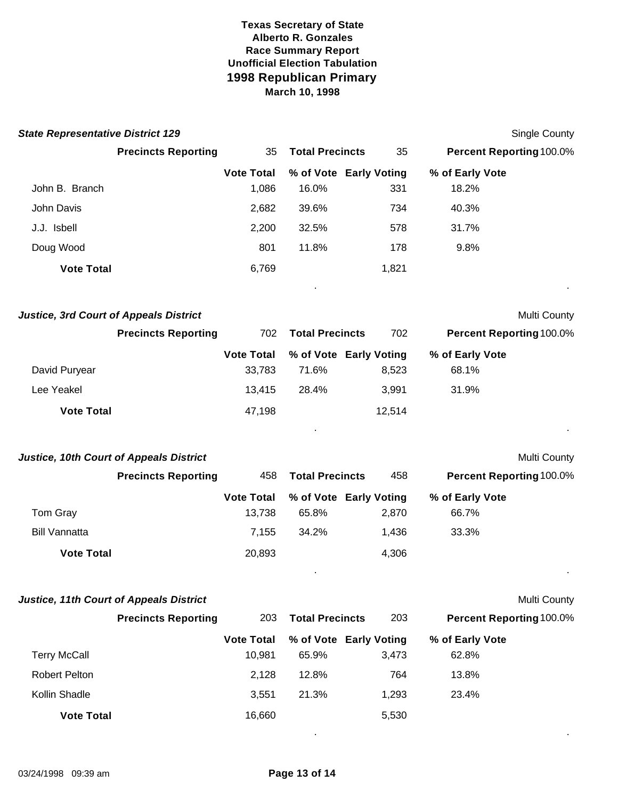| <b>State Representative District 129</b>       |                                   |                                 |        | <b>Single County</b>     |
|------------------------------------------------|-----------------------------------|---------------------------------|--------|--------------------------|
|                                                | <b>Precincts Reporting</b><br>35  | <b>Total Precincts</b>          | 35     | Percent Reporting 100.0% |
|                                                | <b>Vote Total</b>                 | % of Vote Early Voting          |        | % of Early Vote          |
| John B. Branch                                 | 1,086                             | 16.0%                           | 331    | 18.2%                    |
| John Davis                                     | 2,682                             | 39.6%                           | 734    | 40.3%                    |
| J.J. Isbell                                    | 2,200                             | 32.5%                           | 578    | 31.7%                    |
| Doug Wood                                      | 801                               | 11.8%                           | 178    | 9.8%                     |
| <b>Vote Total</b>                              | 6,769                             |                                 | 1,821  |                          |
| <b>Justice, 3rd Court of Appeals District</b>  |                                   |                                 |        | Multi County             |
|                                                | <b>Precincts Reporting</b><br>702 | <b>Total Precincts</b>          | 702    | Percent Reporting 100.0% |
| David Puryear                                  | <b>Vote Total</b><br>33,783       | % of Vote Early Voting<br>71.6% | 8,523  | % of Early Vote<br>68.1% |
| Lee Yeakel                                     | 13,415                            | 28.4%                           | 3,991  | 31.9%                    |
| <b>Vote Total</b>                              | 47,198                            |                                 | 12,514 |                          |
|                                                |                                   |                                 |        |                          |
| <b>Justice, 10th Court of Appeals District</b> |                                   |                                 |        | Multi County             |
|                                                | <b>Precincts Reporting</b><br>458 | <b>Total Precincts</b>          | 458    | Percent Reporting 100.0% |
|                                                | <b>Vote Total</b>                 | % of Vote Early Voting          |        | % of Early Vote          |
| Tom Gray                                       | 13,738                            | 65.8%                           | 2,870  | 66.7%                    |
| <b>Bill Vannatta</b>                           | 7,155                             | 34.2%                           | 1,436  | 33.3%                    |
| <b>Vote Total</b>                              | 20,893                            |                                 | 4,306  |                          |
| <b>Justice, 11th Court of Appeals District</b> |                                   |                                 |        | Multi County             |
|                                                | <b>Precincts Reporting</b><br>203 | <b>Total Precincts</b>          | 203    | Percent Reporting 100.0% |
|                                                | <b>Vote Total</b>                 | % of Vote Early Voting          |        | % of Early Vote          |
| <b>Terry McCall</b>                            | 10,981                            | 65.9%                           | 3,473  | 62.8%                    |
| <b>Robert Pelton</b>                           | 2,128                             | 12.8%                           | 764    | 13.8%                    |
| Kollin Shadle                                  | 3,551                             | 21.3%                           | 1,293  | 23.4%                    |
| <b>Vote Total</b>                              | 16,660                            |                                 | 5,530  |                          |